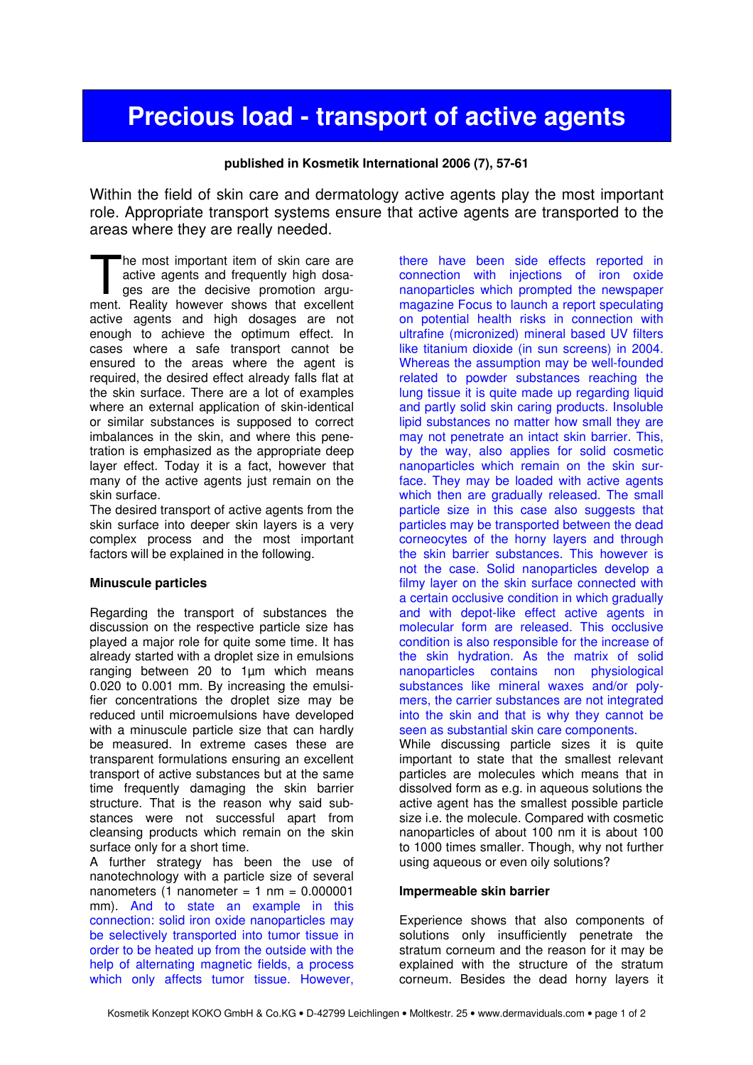# Precious load - transport of active agents

#### published in Kosmetik International 2006 (7), 57-61

Within the field of skin care and dermatology active agents play the most important role. Appropriate transport systems ensure that active agents are transported to the areas where they are really needed.

he most important item of skin care are active agents and frequently high dosages are the decisive promotion argu-The most important item of skin care are active agents and frequently high dosages are the decisive promotion argument. Reality however shows that excellent active agents and high dosages are not enough to achieve the optimum effect. In cases where a safe transport cannot be ensured to the areas where the agent is required, the desired effect already falls flat at the skin surface. There are a lot of examples where an external application of skin-identical or similar substances is supposed to correct imbalances in the skin, and where this penetration is emphasized as the appropriate deep layer effect. Today it is a fact, however that many of the active agents just remain on the skin surface.

The desired transport of active agents from the skin surface into deeper skin layers is a very complex process and the most important factors will be explained in the following.

#### Minuscule particles

Regarding the transport of substances the discussion on the respective particle size has played a major role for quite some time. It has already started with a droplet size in emulsions ranging between 20 to 1µm which means 0.020 to 0.001 mm. By increasing the emulsifier concentrations the droplet size may be reduced until microemulsions have developed with a minuscule particle size that can hardly be measured. In extreme cases these are transparent formulations ensuring an excellent transport of active substances but at the same time frequently damaging the skin barrier structure. That is the reason why said substances were not successful apart from cleansing products which remain on the skin surface only for a short time.

A further strategy has been the use of nanotechnology with a particle size of several nanometers  $(1$  nanometer = 1 nm = 0.000001 mm). And to state an example in this connection: solid iron oxide nanoparticles may be selectively transported into tumor tissue in order to be heated up from the outside with the help of alternating magnetic fields, a process which only affects tumor tissue. However,

there have been side effects reported in connection with injections of iron oxide nanoparticles which prompted the newspaper magazine Focus to launch a report speculating on potential health risks in connection with ultrafine (micronized) mineral based UV filters like titanium dioxide (in sun screens) in 2004. Whereas the assumption may be well-founded related to powder substances reaching the lung tissue it is quite made up regarding liquid and partly solid skin caring products. Insoluble lipid substances no matter how small they are may not penetrate an intact skin barrier. This, by the way, also applies for solid cosmetic nanoparticles which remain on the skin surface. They may be loaded with active agents which then are gradually released. The small particle size in this case also suggests that particles may be transported between the dead corneocytes of the horny layers and through the skin barrier substances. This however is not the case. Solid nanoparticles develop a filmy layer on the skin surface connected with a certain occlusive condition in which gradually and with depot-like effect active agents in molecular form are released. This occlusive condition is also responsible for the increase of the skin hydration. As the matrix of solid nanoparticles contains non physiological substances like mineral waxes and/or polymers, the carrier substances are not integrated into the skin and that is why they cannot be seen as substantial skin care components.

While discussing particle sizes it is quite important to state that the smallest relevant particles are molecules which means that in dissolved form as e.g. in aqueous solutions the active agent has the smallest possible particle size i.e. the molecule. Compared with cosmetic nanoparticles of about 100 nm it is about 100 to 1000 times smaller. Though, why not further using aqueous or even oily solutions?

#### Impermeable skin barrier

Experience shows that also components of solutions only insufficiently penetrate the stratum corneum and the reason for it may be explained with the structure of the stratum corneum. Besides the dead horny layers it